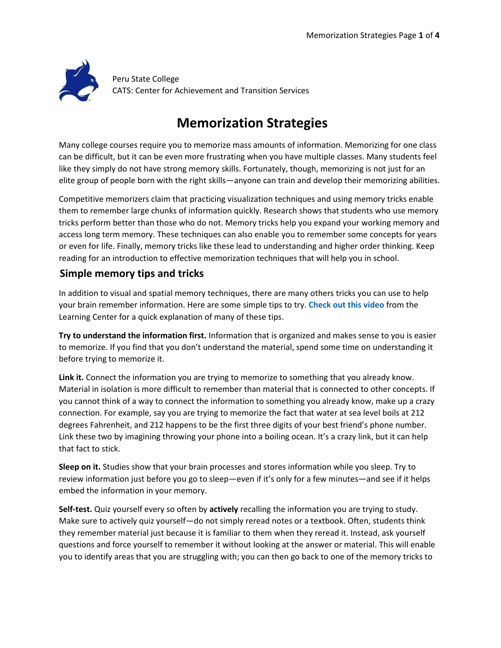

Peru State College CATS: Center for Achievement and Transition Services

# **Memorization Strategies**

Many college courses require you to memorize mass amounts of information. Memorizing for one class can be difficult, but it can be even more frustrating when you have multiple classes. Many students feel like they simply do not have strong memory skills. Fortunately, though, memorizing is not just for an elite group of people born with the right skills—anyone can train and develop their memorizing abilities.

Competitive memorizers claim that practicing visualization techniques and using memory tricks enable them to remember large chunks of information quickly. Research shows that students who use memory tricks perform better than those who do not. Memory tricks help you expand your working memory and access long term memory. These techniques can also enable you to remember some concepts for years or even for life. Finally, memory tricks like these lead to understanding and higher order thinking. Keep reading for an introduction to effective memorization techniques that will help you in school.

## **Simple memory tips and tricks**

In addition to visual and spatial memory techniques, there are many others tricks you can use to help your brain remember information. Here are some simple tips to try. **[Check out this video](https://www.youtube.com/watch?v=wnz7HpOFe9o)** from the Learning Center for a quick explanation of many of these tips.

**Try to understand the information first.** Information that is organized and makes sense to you is easier to memorize. If you find that you don't understand the material, spend some time on understanding it before trying to memorize it.

**Link it.** Connect the information you are trying to memorize to something that you already know. Material in isolation is more difficult to remember than material that is connected to other concepts. If you cannot think of a way to connect the information to something you already know, make up a crazy connection. For example, say you are trying to memorize the fact that water at sea level boils at 212 degrees Fahrenheit, and 212 happens to be the first three digits of your best friend's phone number. Link these two by imagining throwing your phone into a boiling ocean. It's a crazy link, but it can help that fact to stick.

**Sleep on it.** Studies show that your brain processes and stores information while you sleep. Try to review information just before you go to sleep—even if it's only for a few minutes—and see if it helps embed the information in your memory.

**Self-test.** Quiz yourself every so often by **actively** recalling the information you are trying to study. Make sure to actively quiz yourself—do not simply reread notes or a textbook. Often, students think they remember material just because it is familiar to them when they reread it. Instead, ask yourself questions and force yourself to remember it without looking at the answer or material. This will enable you to identify areas that you are struggling with; you can then go back to one of the memory tricks to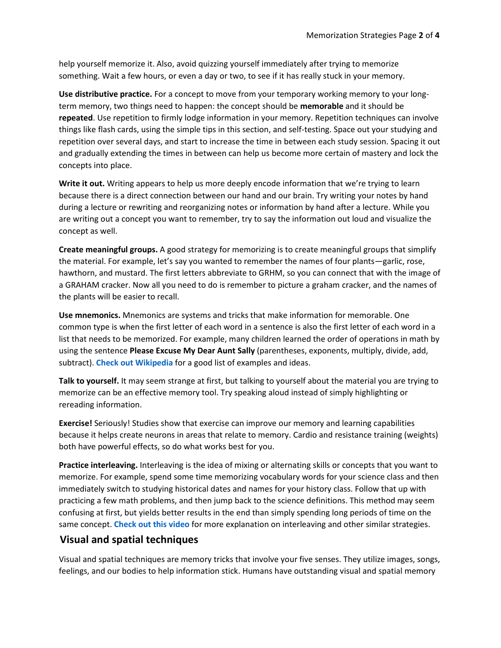help yourself memorize it. Also, avoid quizzing yourself immediately after trying to memorize something. Wait a few hours, or even a day or two, to see if it has really stuck in your memory.

**Use distributive practice.** For a concept to move from your temporary working memory to your longterm memory, two things need to happen: the concept should be **memorable** and it should be **repeated**. Use repetition to firmly lodge information in your memory. Repetition techniques can involve things like flash cards, using the simple tips in this section, and self-testing. Space out your studying and repetition over several days, and start to increase the time in between each study session. Spacing it out and gradually extending the times in between can help us become more certain of mastery and lock the concepts into place.

**Write it out.** Writing appears to help us more deeply encode information that we're trying to learn because there is a direct connection between our hand and our brain. Try writing your notes by hand during a lecture or rewriting and reorganizing notes or information by hand after a lecture. While you are writing out a concept you want to remember, try to say the information out loud and visualize the concept as well.

**Create meaningful groups.** A good strategy for memorizing is to create meaningful groups that simplify the material. For example, let's say you wanted to remember the names of four plants—garlic, rose, hawthorn, and mustard. The first letters abbreviate to GRHM, so you can connect that with the image of a GRAHAM cracker. Now all you need to do is remember to picture a graham cracker, and the names of the plants will be easier to recall.

**Use mnemonics.** Mnemonics are systems and tricks that make information for memorable. One common type is when the first letter of each word in a sentence is also the first letter of each word in a list that needs to be memorized. For example, many children learned the order of operations in math by using the sentence **Please Excuse My Dear Aunt Sally** (parentheses, exponents, multiply, divide, add, subtract). **[Check out Wikipedia](https://en.wikipedia.org/wiki/Mnemonic)** for a good list of examples and ideas.

**Talk to yourself.** It may seem strange at first, but talking to yourself about the material you are trying to memorize can be an effective memory tool. Try speaking aloud instead of simply highlighting or rereading information.

**Exercise!** Seriously! Studies show that exercise can improve our memory and learning capabilities because it helps create neurons in areas that relate to memory. Cardio and resistance training (weights) both have powerful effects, so do what works best for you.

**Practice interleaving.** Interleaving is the idea of mixing or alternating skills or concepts that you want to memorize. For example, spend some time memorizing vocabulary words for your science class and then immediately switch to studying historical dates and names for your history class. Follow that up with practicing a few math problems, and then jump back to the science definitions. This method may seem confusing at first, but yields better results in the end than simply spending long periods of time on the same concept. **[Check out this video](https://www.coursera.org/learn/learning-how-to-learn/lecture/1MpwV/overlearning-choking-einstellung-and-interleaving)** for more explanation on interleaving and other similar strategies.

### **Visual and spatial techniques**

Visual and spatial techniques are memory tricks that involve your five senses. They utilize images, songs, feelings, and our bodies to help information stick. Humans have outstanding visual and spatial memory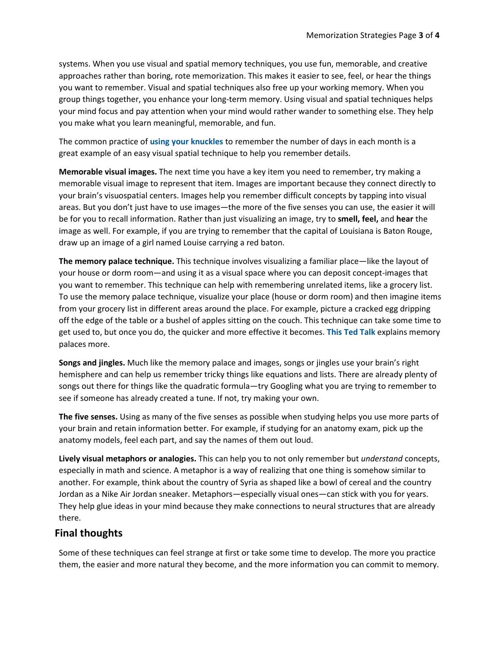systems. When you use visual and spatial memory techniques, you use fun, memorable, and creative approaches rather than boring, rote memorization. This makes it easier to see, feel, or hear the things you want to remember. Visual and spatial techniques also free up your working memory. When you group things together, you enhance your long-term memory. Using visual and spatial techniques helps your mind focus and pay attention when your mind would rather wander to something else. They help you make what you learn meaningful, memorable, and fun.

The common practice of **[using your knuckles](https://en.wikipedia.org/wiki/Knuckle_mnemonic)** to remember the number of days in each month is a great example of an easy visual spatial technique to help you remember details.

**Memorable visual images.** The next time you have a key item you need to remember, try making a memorable visual image to represent that item. Images are important because they connect directly to your brain's visuospatial centers. Images help you remember difficult concepts by tapping into visual areas. But you don't just have to use images—the more of the five senses you can use, the easier it will be for you to recall information. Rather than just visualizing an image, try to **smell, feel,** and **hear** the image as well. For example, if you are trying to remember that the capital of Louisiana is Baton Rouge, draw up an image of a girl named Louise carrying a red baton.

**The memory palace technique.** This technique involves visualizing a familiar place—like the layout of your house or dorm room—and using it as a visual space where you can deposit concept-images that you want to remember. This technique can help with remembering unrelated items, like a grocery list. To use the memory palace technique, visualize your place (house or dorm room) and then imagine items from your grocery list in different areas around the place. For example, picture a cracked egg dripping off the edge of the table or a bushel of apples sitting on the couch. This technique can take some time to get used to, but once you do, the quicker and more effective it becomes. **[This Ted Talk](https://www.ted.com/talks/joshua_foer_feats_of_memory_anyone_can_do)** explains memory palaces more.

**Songs and jingles.** Much like the memory palace and images, songs or jingles use your brain's right hemisphere and can help us remember tricky things like equations and lists. There are already plenty of songs out there for things like the quadratic formula—try Googling what you are trying to remember to see if someone has already created a tune. If not, try making your own.

**The five senses.** Using as many of the five senses as possible when studying helps you use more parts of your brain and retain information better. For example, if studying for an anatomy exam, pick up the anatomy models, feel each part, and say the names of them out loud.

**Lively visual metaphors or analogies.** This can help you to not only remember but *understand* concepts, especially in math and science. A metaphor is a way of realizing that one thing is somehow similar to another. For example, think about the country of Syria as shaped like a bowl of cereal and the country Jordan as a Nike Air Jordan sneaker. Metaphors—especially visual ones—can stick with you for years. They help glue ideas in your mind because they make connections to neural structures that are already there.

#### **Final thoughts**

Some of these techniques can feel strange at first or take some time to develop. The more you practice them, the easier and more natural they become, and the more information you can commit to memory.